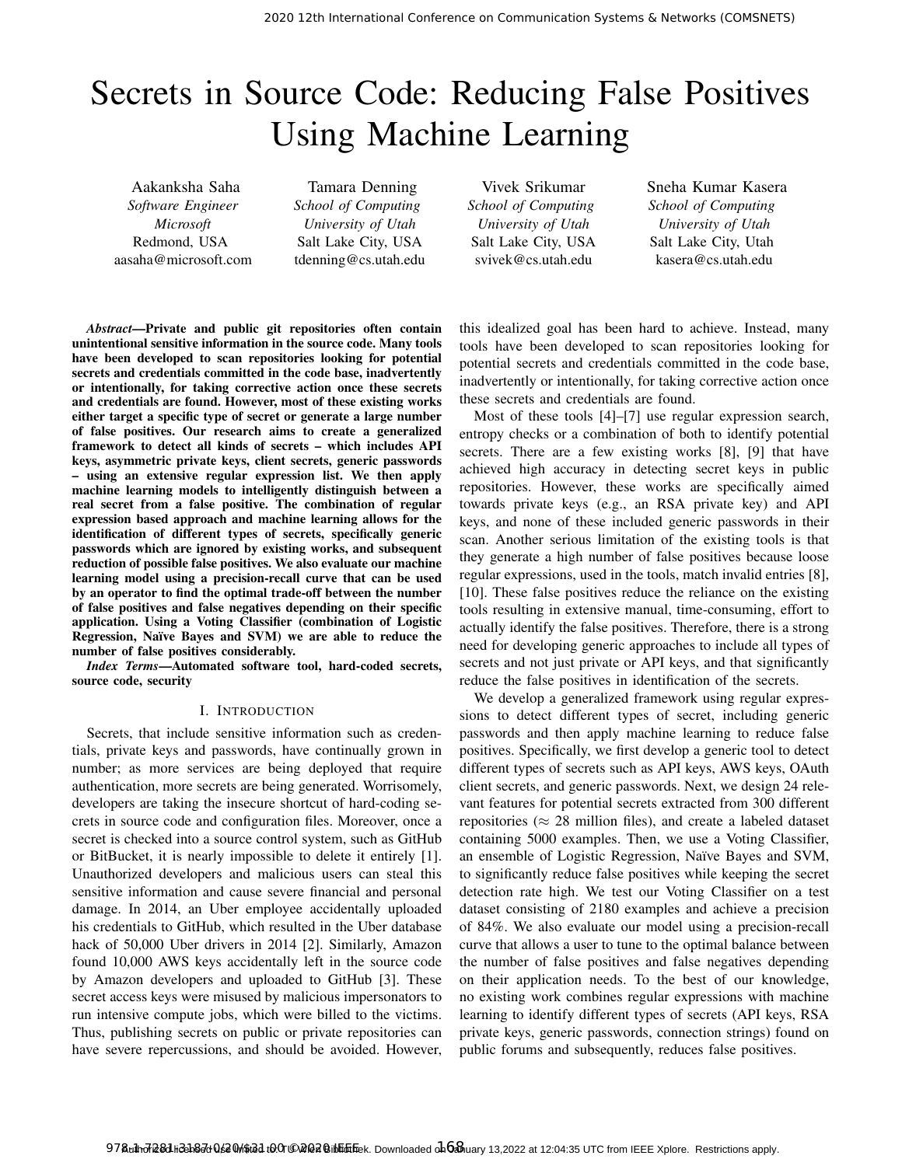# Secrets in Source Code: Reducing False Positives Using Machine Learning

Aakanksha Saha *Software Engineer Microsoft* Redmond, USA aasaha@microsoft.com

Tamara Denning *School of Computing University of Utah* Salt Lake City, USA tdenning@cs.utah.edu

Vivek Srikumar *School of Computing University of Utah* Salt Lake City, USA svivek@cs.utah.edu

Sneha Kumar Kasera *School of Computing University of Utah* Salt Lake City, Utah kasera@cs.utah.edu

*Abstract*—Private and public git repositories often contain unintentional sensitive information in the source code. Many tools have been developed to scan repositories looking for potential secrets and credentials committed in the code base, inadvertently or intentionally, for taking corrective action once these secrets and credentials are found. However, most of these existing works either target a specific type of secret or generate a large number of false positives. Our research aims to create a generalized framework to detect all kinds of secrets – which includes API keys, asymmetric private keys, client secrets, generic passwords – using an extensive regular expression list. We then apply machine learning models to intelligently distinguish between a real secret from a false positive. The combination of regular expression based approach and machine learning allows for the identification of different types of secrets, specifically generic passwords which are ignored by existing works, and subsequent reduction of possible false positives. We also evaluate our machine learning model using a precision-recall curve that can be used by an operator to find the optimal trade-off between the number of false positives and false negatives depending on their specific application. Using a Voting Classifier (combination of Logistic Regression, Naïve Bayes and SVM) we are able to reduce the number of false positives considerably.

*Index Terms*—Automated software tool, hard-coded secrets, source code, security

# I. INTRODUCTION

Secrets, that include sensitive information such as credentials, private keys and passwords, have continually grown in number; as more services are being deployed that require authentication, more secrets are being generated. Worrisomely, developers are taking the insecure shortcut of hard-coding secrets in source code and configuration files. Moreover, once a secret is checked into a source control system, such as GitHub or BitBucket, it is nearly impossible to delete it entirely [1]. Unauthorized developers and malicious users can steal this sensitive information and cause severe financial and personal damage. In 2014, an Uber employee accidentally uploaded his credentials to GitHub, which resulted in the Uber database hack of 50,000 Uber drivers in 2014 [2]. Similarly, Amazon found 10,000 AWS keys accidentally left in the source code by Amazon developers and uploaded to GitHub [3]. These secret access keys were misused by malicious impersonators to run intensive compute jobs, which were billed to the victims. Thus, publishing secrets on public or private repositories can have severe repercussions, and should be avoided. However,

this idealized goal has been hard to achieve. Instead, many tools have been developed to scan repositories looking for potential secrets and credentials committed in the code base, inadvertently or intentionally, for taking corrective action once these secrets and credentials are found.

Most of these tools [4]–[7] use regular expression search, entropy checks or a combination of both to identify potential secrets. There are a few existing works [8], [9] that have achieved high accuracy in detecting secret keys in public repositories. However, these works are specifically aimed towards private keys (e.g., an RSA private key) and API keys, and none of these included generic passwords in their scan. Another serious limitation of the existing tools is that they generate a high number of false positives because loose regular expressions, used in the tools, match invalid entries [8], [10]. These false positives reduce the reliance on the existing tools resulting in extensive manual, time-consuming, effort to actually identify the false positives. Therefore, there is a strong need for developing generic approaches to include all types of secrets and not just private or API keys, and that significantly reduce the false positives in identification of the secrets.

We develop a generalized framework using regular expressions to detect different types of secret, including generic passwords and then apply machine learning to reduce false positives. Specifically, we first develop a generic tool to detect different types of secrets such as API keys, AWS keys, OAuth client secrets, and generic passwords. Next, we design 24 relevant features for potential secrets extracted from 300 different repositories ( $\approx$  28 million files), and create a labeled dataset containing 5000 examples. Then, we use a Voting Classifier, an ensemble of Logistic Regression, Naïve Bayes and SVM, to significantly reduce false positives while keeping the secret detection rate high. We test our Voting Classifier on a test dataset consisting of 2180 examples and achieve a precision of 84%. We also evaluate our model using a precision-recall curve that allows a user to tune to the optimal balance between the number of false positives and false negatives depending on their application needs. To the best of our knowledge, no existing work combines regular expressions with machine learning to identify different types of secrets (API keys, RSA private keys, generic passwords, connection strings) found on public forums and subsequently, reduces false positives.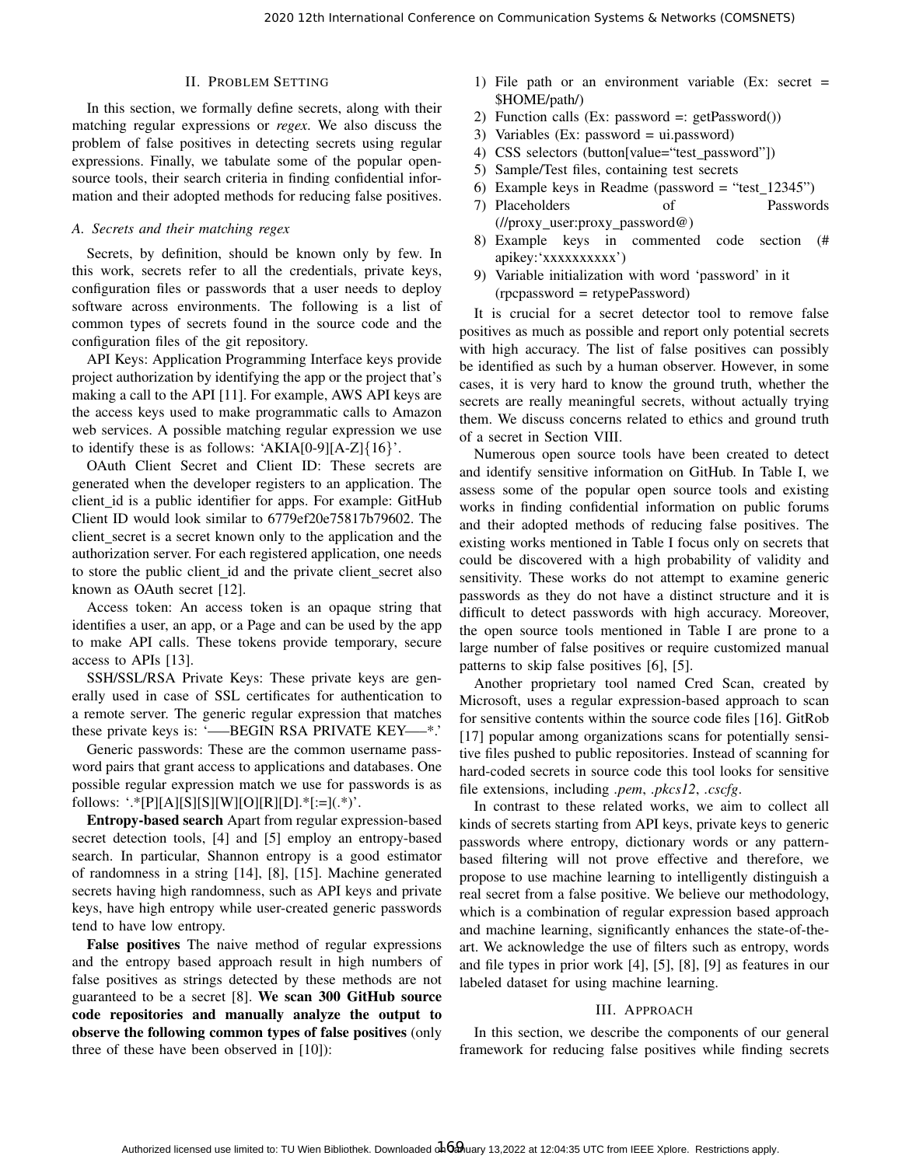# II. PROBLEM SETTING

In this section, we formally define secrets, along with their matching regular expressions or *regex*. We also discuss the problem of false positives in detecting secrets using regular expressions. Finally, we tabulate some of the popular opensource tools, their search criteria in finding confidential information and their adopted methods for reducing false positives.

# *A. Secrets and their matching regex*

Secrets, by definition, should be known only by few. In this work, secrets refer to all the credentials, private keys, configuration files or passwords that a user needs to deploy software across environments. The following is a list of common types of secrets found in the source code and the configuration files of the git repository.

API Keys: Application Programming Interface keys provide project authorization by identifying the app or the project that's making a call to the API [11]. For example, AWS API keys are the access keys used to make programmatic calls to Amazon web services. A possible matching regular expression we use to identify these is as follows: 'AKIA $[0-9][A-Z]\{16\}$ '.

OAuth Client Secret and Client ID: These secrets are generated when the developer registers to an application. The client id is a public identifier for apps. For example: GitHub Client ID would look similar to 6779ef20e75817b79602. The client secret is a secret known only to the application and the authorization server. For each registered application, one needs to store the public client id and the private client secret also known as OAuth secret [12].

Access token: An access token is an opaque string that identifies a user, an app, or a Page and can be used by the app to make API calls. These tokens provide temporary, secure access to APIs [13].

SSH/SSL/RSA Private Keys: These private keys are generally used in case of SSL certificates for authentication to a remote server. The generic regular expression that matches these private keys is: '—–BEGIN RSA PRIVATE KEY—–\*.'

Generic passwords: These are the common username password pairs that grant access to applications and databases. One possible regular expression match we use for passwords is as follows: '.\*[P][A][S][S][W][O][R][D].\*[:=](.\*)'.

Entropy-based search Apart from regular expression-based secret detection tools, [4] and [5] employ an entropy-based search. In particular, Shannon entropy is a good estimator of randomness in a string [14], [8], [15]. Machine generated secrets having high randomness, such as API keys and private keys, have high entropy while user-created generic passwords tend to have low entropy.

False positives The naive method of regular expressions and the entropy based approach result in high numbers of false positives as strings detected by these methods are not guaranteed to be a secret [8]. We scan 300 GitHub source code repositories and manually analyze the output to observe the following common types of false positives (only three of these have been observed in [10]):

- 1) File path or an environment variable (Ex: secret = \$HOME/path/)
- 2) Function calls (Ex: password  $=$ : getPassword $()$ )
- 3) Variables (Ex: password = ui.password)
- 4) CSS selectors (button[value="test password"])
- 5) Sample/Test files, containing test secrets
- 6) Example keys in Readme (password = "test\_12345")
- 7) Placeholders of Passwords (//proxy user:proxy password@)
- 8) Example keys in commented code section (# apikey:'xxxxxxxxxx')
- 9) Variable initialization with word 'password' in it (rpcpassword = retypePassword)

It is crucial for a secret detector tool to remove false positives as much as possible and report only potential secrets with high accuracy. The list of false positives can possibly be identified as such by a human observer. However, in some cases, it is very hard to know the ground truth, whether the secrets are really meaningful secrets, without actually trying them. We discuss concerns related to ethics and ground truth of a secret in Section VIII.

Numerous open source tools have been created to detect and identify sensitive information on GitHub. In Table I, we assess some of the popular open source tools and existing works in finding confidential information on public forums and their adopted methods of reducing false positives. The existing works mentioned in Table I focus only on secrets that could be discovered with a high probability of validity and sensitivity. These works do not attempt to examine generic passwords as they do not have a distinct structure and it is difficult to detect passwords with high accuracy. Moreover, the open source tools mentioned in Table I are prone to a large number of false positives or require customized manual patterns to skip false positives [6], [5].

Another proprietary tool named Cred Scan, created by Microsoft, uses a regular expression-based approach to scan for sensitive contents within the source code files [16]. GitRob [17] popular among organizations scans for potentially sensitive files pushed to public repositories. Instead of scanning for hard-coded secrets in source code this tool looks for sensitive file extensions, including *.pem*, *.pkcs12*, *.cscfg*.

In contrast to these related works, we aim to collect all kinds of secrets starting from API keys, private keys to generic passwords where entropy, dictionary words or any patternbased filtering will not prove effective and therefore, we propose to use machine learning to intelligently distinguish a real secret from a false positive. We believe our methodology, which is a combination of regular expression based approach and machine learning, significantly enhances the state-of-theart. We acknowledge the use of filters such as entropy, words and file types in prior work [4], [5], [8], [9] as features in our labeled dataset for using machine learning.

# III. APPROACH

In this section, we describe the components of our general framework for reducing false positives while finding secrets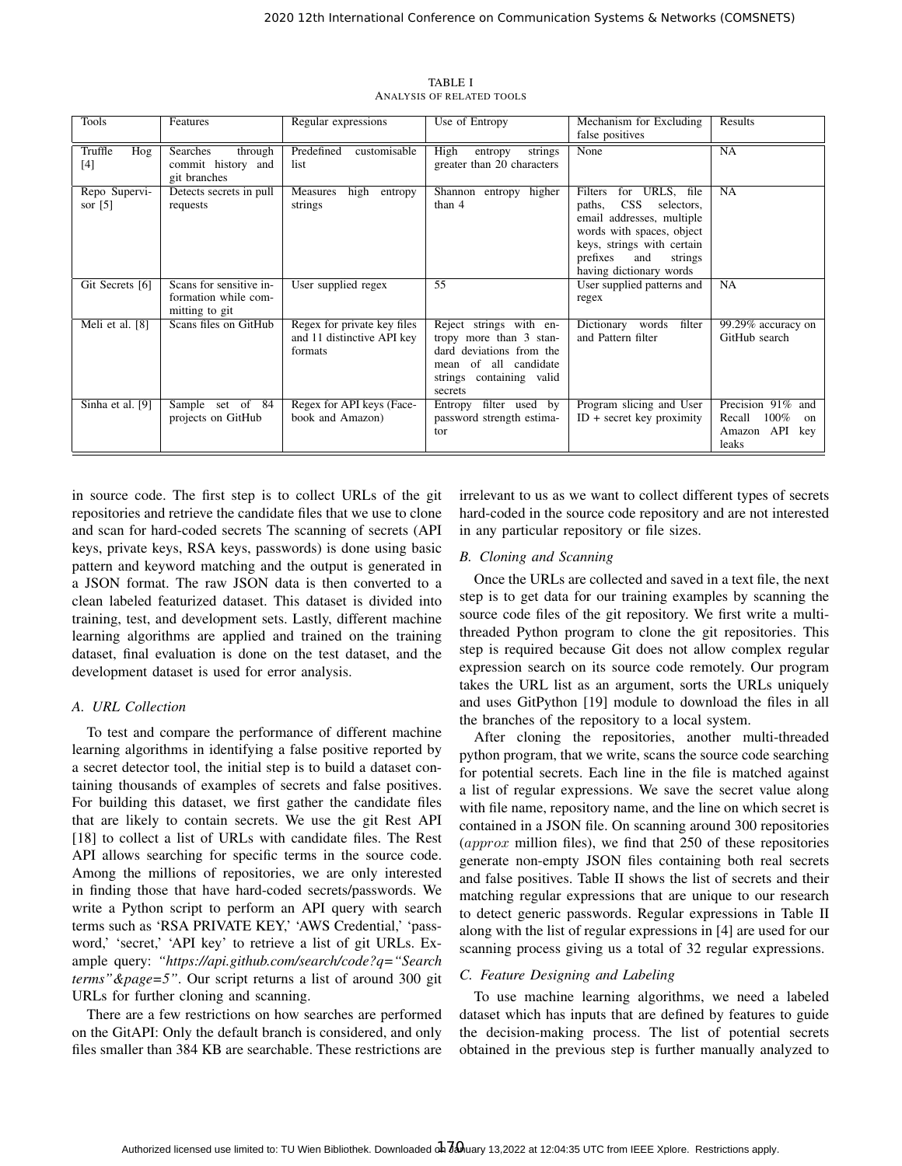| <b>Tools</b>               | Features                                                          | Regular expressions                                                  | Use of Entropy                                                                                                                                       | Mechanism for Excluding<br>false positives                                                                                                                                                                                | Results                                                              |
|----------------------------|-------------------------------------------------------------------|----------------------------------------------------------------------|------------------------------------------------------------------------------------------------------------------------------------------------------|---------------------------------------------------------------------------------------------------------------------------------------------------------------------------------------------------------------------------|----------------------------------------------------------------------|
| Truffle<br>Hog<br>[4]      | Searches<br>through<br>commit history and<br>git branches         | Predefined<br>customisable<br>list                                   | High<br>entropy<br>strings<br>greater than 20 characters                                                                                             | None                                                                                                                                                                                                                      | NA                                                                   |
| Repo Supervi-<br>sor $[5]$ | Detects secrets in pull<br>requests                               | Measures<br>high<br>entropy<br>strings                               | higher<br>Shannon entropy<br>than 4                                                                                                                  | URLS, file<br>Filters<br>for<br>CSS <sup>-</sup><br>selectors,<br>paths,<br>email addresses, multiple<br>words with spaces, object<br>keys, strings with certain<br>prefixes<br>and<br>strings<br>having dictionary words | NA                                                                   |
| Git Secrets [6]            | Scans for sensitive in-<br>formation while com-<br>mitting to git | User supplied regex                                                  | $\overline{55}$                                                                                                                                      | User supplied patterns and<br>regex                                                                                                                                                                                       | <b>NA</b>                                                            |
| Meli et al. [8]            | Scans files on GitHub                                             | Regex for private key files<br>and 11 distinctive API key<br>formats | Reject strings with en-<br>tropy more than 3 stan-<br>dard deviations from the<br>all candidate<br>of<br>mean<br>strings containing valid<br>secrets | words<br>filter<br>Dictionary<br>and Pattern filter                                                                                                                                                                       | 99.29% accuracy on<br>GitHub search                                  |
| Sinha et al. [9]           | Sample set of 84<br>projects on GitHub                            | Regex for API keys (Face-<br>book and Amazon)                        | filter used by<br>Entropy<br>password strength estima-<br>tor                                                                                        | Program slicing and User<br>$ID + secret key proximity$                                                                                                                                                                   | Precision 91% and<br>100%<br>Recall<br>on<br>Amazon API key<br>leaks |

TABLE I ANALYSIS OF RELATED TOOLS

in source code. The first step is to collect URLs of the git repositories and retrieve the candidate files that we use to clone and scan for hard-coded secrets The scanning of secrets (API keys, private keys, RSA keys, passwords) is done using basic pattern and keyword matching and the output is generated in a JSON format. The raw JSON data is then converted to a clean labeled featurized dataset. This dataset is divided into training, test, and development sets. Lastly, different machine learning algorithms are applied and trained on the training dataset, final evaluation is done on the test dataset, and the development dataset is used for error analysis.

# *A. URL Collection*

To test and compare the performance of different machine learning algorithms in identifying a false positive reported by a secret detector tool, the initial step is to build a dataset containing thousands of examples of secrets and false positives. For building this dataset, we first gather the candidate files that are likely to contain secrets. We use the git Rest API [18] to collect a list of URLs with candidate files. The Rest API allows searching for specific terms in the source code. Among the millions of repositories, we are only interested in finding those that have hard-coded secrets/passwords. We write a Python script to perform an API query with search terms such as 'RSA PRIVATE KEY,' 'AWS Credential,' 'password,' 'secret,' 'API key' to retrieve a list of git URLs. Example query: *"https://api.github.com/search/code?q="Search terms"&page=5"*. Our script returns a list of around 300 git URLs for further cloning and scanning.

There are a few restrictions on how searches are performed on the GitAPI: Only the default branch is considered, and only files smaller than 384 KB are searchable. These restrictions are irrelevant to us as we want to collect different types of secrets hard-coded in the source code repository and are not interested in any particular repository or file sizes.

# *B. Cloning and Scanning*

Once the URLs are collected and saved in a text file, the next step is to get data for our training examples by scanning the source code files of the git repository. We first write a multithreaded Python program to clone the git repositories. This step is required because Git does not allow complex regular expression search on its source code remotely. Our program takes the URL list as an argument, sorts the URLs uniquely and uses GitPython [19] module to download the files in all the branches of the repository to a local system.

After cloning the repositories, another multi-threaded python program, that we write, scans the source code searching for potential secrets. Each line in the file is matched against a list of regular expressions. We save the secret value along with file name, repository name, and the line on which secret is contained in a JSON file. On scanning around 300 repositories  $\langle approx~million~files),$  we find that 250 of these repositories generate non-empty JSON files containing both real secrets and false positives. Table II shows the list of secrets and their matching regular expressions that are unique to our research to detect generic passwords. Regular expressions in Table II along with the list of regular expressions in [4] are used for our scanning process giving us a total of 32 regular expressions.

# *C. Feature Designing and Labeling*

To use machine learning algorithms, we need a labeled dataset which has inputs that are defined by features to guide the decision-making process. The list of potential secrets obtained in the previous step is further manually analyzed to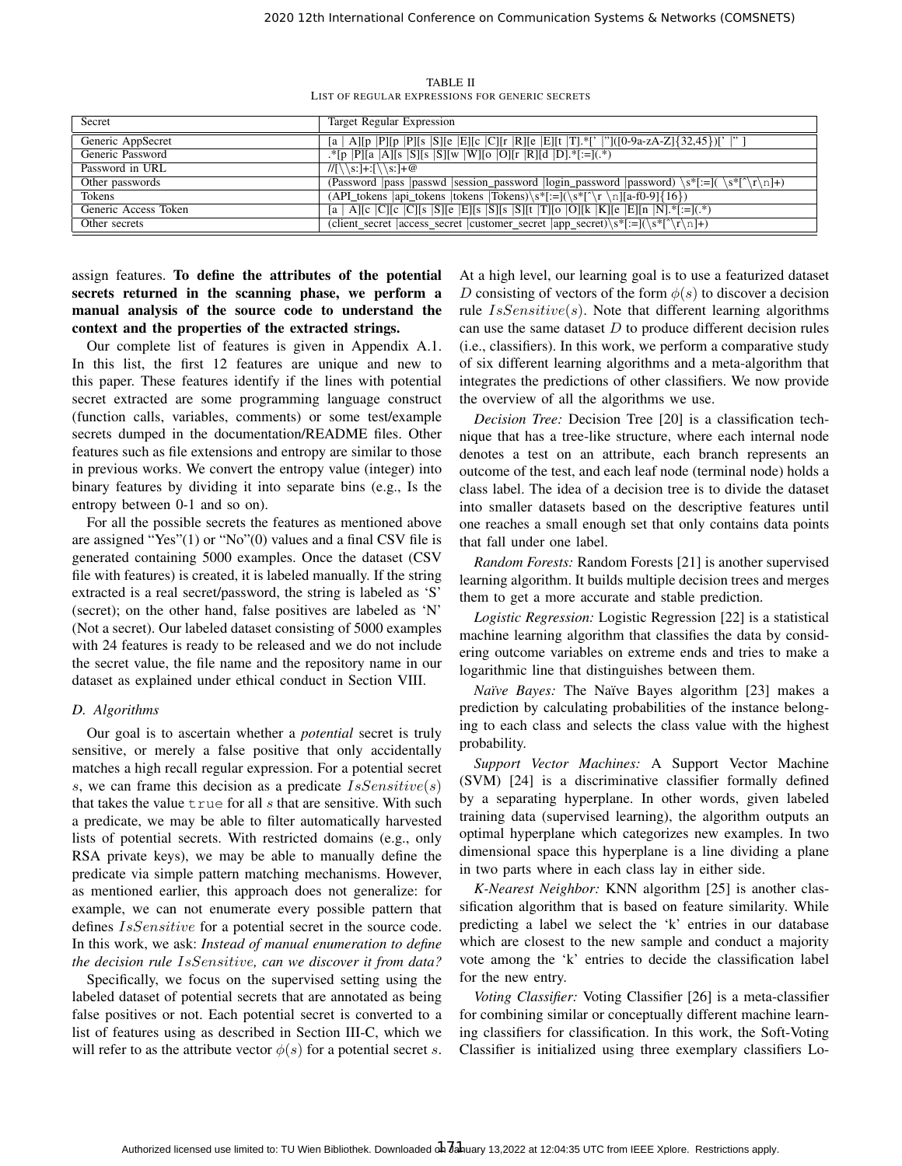TABLE II LIST OF REGULAR EXPRESSIONS FOR GENERIC SECRETS

| Secret               | <b>Target Regular Expression</b>                                                                                                                 |
|----------------------|--------------------------------------------------------------------------------------------------------------------------------------------------|
| Generic AppSecret    | [a   A][p  P][p  P][s  S][e  E][c  C][r  R][e  E][t  T].*['  '']([0-9a-zA-Z]{32,45})['  '']                                                      |
| Generic Password     | .*[p  P][a  A][s  S][s  S][w  W][o  O][r  R][d  D].*[:=](.*)                                                                                     |
| Password in URL      | $1/(\sqrt{s}:\cdot]+(1/\sqrt{s}:\cdot]+(0)$                                                                                                      |
| Other passwords      | (Password   pass   password   session_password   login_password   password $\mathcal{S}^*$ [:=]( $\mathcal{S}^*$ [ $\Gamma$ \r $\mathcal{S}$ ]+) |
| Tokens               | (API_tokens  api_tokens  tokens  Tokens)\s*[:=](\s*[^\r \n][a-f0-9]{16})                                                                         |
| Generic Access Token | [a   A][c  C][c  C][s  S][e  E][s  S][s  S][t  T][o  O][k  K][e  E][n  N].*[:=](.*)                                                              |
| Other secrets        | (client_secret   access_secret   customer_secret   app_secret $\frac{s}{r-\lceil}(\s * \lceil \cdot \rceil + 1)$                                 |

# assign features. To define the attributes of the potential secrets returned in the scanning phase, we perform a manual analysis of the source code to understand the context and the properties of the extracted strings.

Our complete list of features is given in Appendix A.1. In this list, the first 12 features are unique and new to this paper. These features identify if the lines with potential secret extracted are some programming language construct (function calls, variables, comments) or some test/example secrets dumped in the documentation/README files. Other features such as file extensions and entropy are similar to those in previous works. We convert the entropy value (integer) into binary features by dividing it into separate bins (e.g., Is the entropy between 0-1 and so on).

For all the possible secrets the features as mentioned above are assigned "Yes"(1) or "No"(0) values and a final CSV file is generated containing 5000 examples. Once the dataset (CSV file with features) is created, it is labeled manually. If the string extracted is a real secret/password, the string is labeled as 'S' (secret); on the other hand, false positives are labeled as 'N' (Not a secret). Our labeled dataset consisting of 5000 examples with 24 features is ready to be released and we do not include the secret value, the file name and the repository name in our dataset as explained under ethical conduct in Section VIII.

# *D. Algorithms*

Our goal is to ascertain whether a *potential* secret is truly sensitive, or merely a false positive that only accidentally matches a high recall regular expression. For a potential secret s, we can frame this decision as a predicate  $IsSensitive(s)$ that takes the value  $true$  for all s that are sensitive. With such a predicate, we may be able to filter automatically harvested lists of potential secrets. With restricted domains (e.g., only RSA private keys), we may be able to manually define the predicate via simple pattern matching mechanisms. However, as mentioned earlier, this approach does not generalize: for example, we can not enumerate every possible pattern that defines *IsSensitive* for a potential secret in the source code. In this work, we ask: *Instead of manual enumeration to define the decision rule* IsSensitive*, can we discover it from data?*

Specifically, we focus on the supervised setting using the labeled dataset of potential secrets that are annotated as being false positives or not. Each potential secret is converted to a list of features using as described in Section III-C, which we will refer to as the attribute vector  $\phi(s)$  for a potential secret s. At a high level, our learning goal is to use a featurized dataset D consisting of vectors of the form  $\phi(s)$  to discover a decision rule  $IsSensitive(s)$ . Note that different learning algorithms can use the same dataset  $D$  to produce different decision rules (i.e., classifiers). In this work, we perform a comparative study of six different learning algorithms and a meta-algorithm that integrates the predictions of other classifiers. We now provide the overview of all the algorithms we use.

*Decision Tree:* Decision Tree [20] is a classification technique that has a tree-like structure, where each internal node denotes a test on an attribute, each branch represents an outcome of the test, and each leaf node (terminal node) holds a class label. The idea of a decision tree is to divide the dataset into smaller datasets based on the descriptive features until one reaches a small enough set that only contains data points that fall under one label.

*Random Forests:* Random Forests [21] is another supervised learning algorithm. It builds multiple decision trees and merges them to get a more accurate and stable prediction.

*Logistic Regression:* Logistic Regression [22] is a statistical machine learning algorithm that classifies the data by considering outcome variables on extreme ends and tries to make a logarithmic line that distinguishes between them.

*Naïve Bayes:* The Naïve Bayes algorithm [23] makes a prediction by calculating probabilities of the instance belonging to each class and selects the class value with the highest probability.

*Support Vector Machines:* A Support Vector Machine (SVM) [24] is a discriminative classifier formally defined by a separating hyperplane. In other words, given labeled training data (supervised learning), the algorithm outputs an optimal hyperplane which categorizes new examples. In two dimensional space this hyperplane is a line dividing a plane in two parts where in each class lay in either side.

*K-Nearest Neighbor:* KNN algorithm [25] is another classification algorithm that is based on feature similarity. While predicting a label we select the 'k' entries in our database which are closest to the new sample and conduct a majority vote among the 'k' entries to decide the classification label for the new entry.

*Voting Classifier:* Voting Classifier [26] is a meta-classifier for combining similar or conceptually different machine learning classifiers for classification. In this work, the Soft-Voting Classifier is initialized using three exemplary classifiers Lo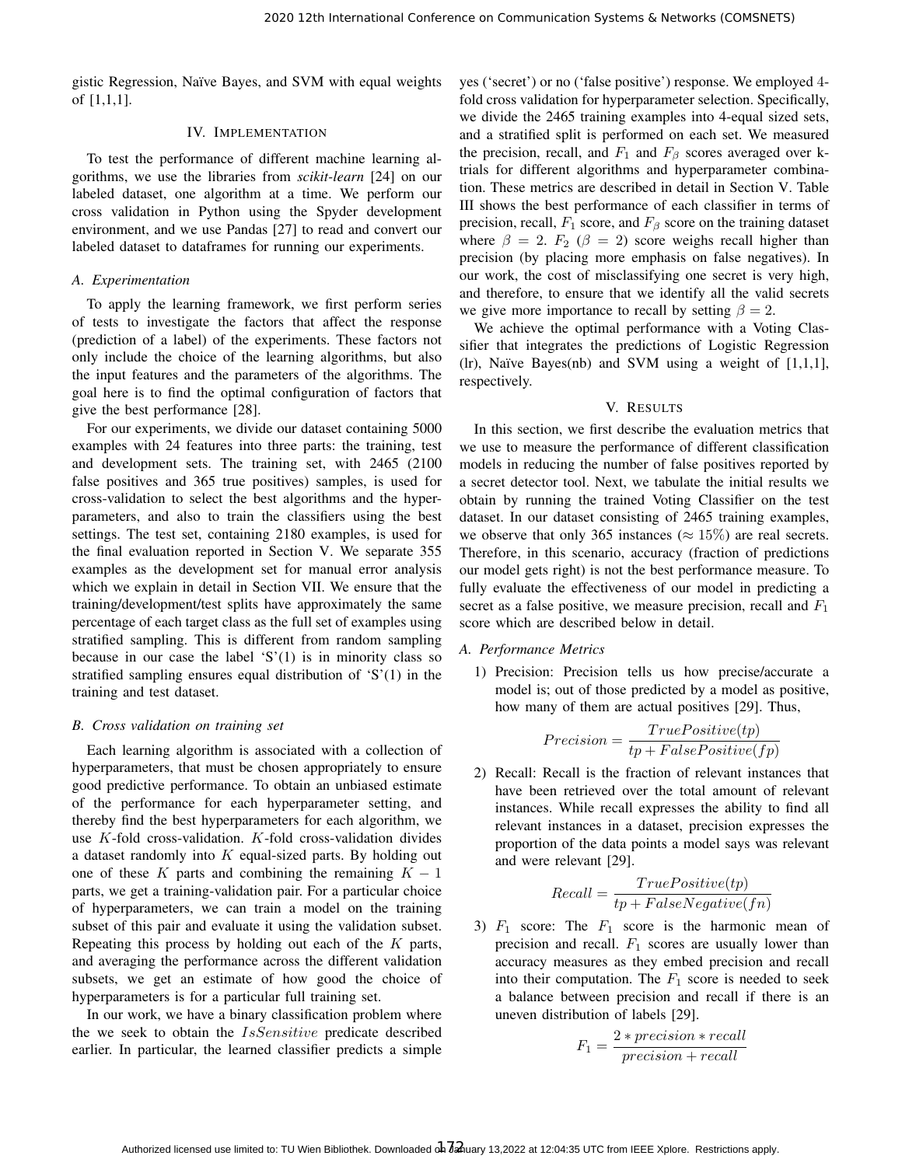gistic Regression, Naïve Bayes, and SVM with equal weights of [1,1,1].

# IV. IMPLEMENTATION

To test the performance of different machine learning algorithms, we use the libraries from *scikit-learn* [24] on our labeled dataset, one algorithm at a time. We perform our cross validation in Python using the Spyder development environment, and we use Pandas [27] to read and convert our labeled dataset to dataframes for running our experiments.

# *A. Experimentation*

To apply the learning framework, we first perform series of tests to investigate the factors that affect the response (prediction of a label) of the experiments. These factors not only include the choice of the learning algorithms, but also the input features and the parameters of the algorithms. The goal here is to find the optimal configuration of factors that give the best performance [28].

For our experiments, we divide our dataset containing 5000 examples with 24 features into three parts: the training, test and development sets. The training set, with 2465 (2100 false positives and 365 true positives) samples, is used for cross-validation to select the best algorithms and the hyperparameters, and also to train the classifiers using the best settings. The test set, containing 2180 examples, is used for the final evaluation reported in Section V. We separate 355 examples as the development set for manual error analysis which we explain in detail in Section VII. We ensure that the training/development/test splits have approximately the same percentage of each target class as the full set of examples using stratified sampling. This is different from random sampling because in our case the label  $S'(1)$  is in minority class so stratified sampling ensures equal distribution of 'S'(1) in the training and test dataset.

#### *B. Cross validation on training set*

Each learning algorithm is associated with a collection of hyperparameters, that must be chosen appropriately to ensure good predictive performance. To obtain an unbiased estimate of the performance for each hyperparameter setting, and thereby find the best hyperparameters for each algorithm, we use K-fold cross-validation. K-fold cross-validation divides a dataset randomly into  $K$  equal-sized parts. By holding out one of these K parts and combining the remaining  $K - 1$ parts, we get a training-validation pair. For a particular choice of hyperparameters, we can train a model on the training subset of this pair and evaluate it using the validation subset. Repeating this process by holding out each of the K parts, and averaging the performance across the different validation subsets, we get an estimate of how good the choice of hyperparameters is for a particular full training set.

In our work, we have a binary classification problem where the we seek to obtain the IsSensitive predicate described earlier. In particular, the learned classifier predicts a simple yes ('secret') or no ('false positive') response. We employed 4 fold cross validation for hyperparameter selection. Specifically, we divide the 2465 training examples into 4-equal sized sets, and a stratified split is performed on each set. We measured the precision, recall, and  $F_1$  and  $F_\beta$  scores averaged over ktrials for different algorithms and hyperparameter combination. These metrics are described in detail in Section V. Table III shows the best performance of each classifier in terms of precision, recall,  $F_1$  score, and  $F_\beta$  score on the training dataset where  $\beta = 2$ .  $F_2$  ( $\beta = 2$ ) score weighs recall higher than precision (by placing more emphasis on false negatives). In our work, the cost of misclassifying one secret is very high, and therefore, to ensure that we identify all the valid secrets we give more importance to recall by setting  $\beta = 2$ .

We achieve the optimal performance with a Voting Classifier that integrates the predictions of Logistic Regression (lr), Naïve Bayes(nb) and SVM using a weight of  $[1,1,1]$ , respectively.

#### V. RESULTS

In this section, we first describe the evaluation metrics that we use to measure the performance of different classification models in reducing the number of false positives reported by a secret detector tool. Next, we tabulate the initial results we obtain by running the trained Voting Classifier on the test dataset. In our dataset consisting of 2465 training examples, we observe that only 365 instances ( $\approx 15\%$ ) are real secrets. Therefore, in this scenario, accuracy (fraction of predictions our model gets right) is not the best performance measure. To fully evaluate the effectiveness of our model in predicting a secret as a false positive, we measure precision, recall and  $F_1$ score which are described below in detail.

# *A. Performance Metrics*

1) Precision: Precision tells us how precise/accurate a model is; out of those predicted by a model as positive, how many of them are actual positives [29]. Thus,

$$
Precision = \frac{TruePositive(tp)}{tp + FalsePositive(fp)}
$$

2) Recall: Recall is the fraction of relevant instances that have been retrieved over the total amount of relevant instances. While recall expresses the ability to find all relevant instances in a dataset, precision expresses the proportion of the data points a model says was relevant and were relevant [29].

$$
Recall = \frac{TruePositive(tp)}{tp + FalseNegative(fn)}
$$

3)  $F_1$  score: The  $F_1$  score is the harmonic mean of precision and recall.  $F_1$  scores are usually lower than accuracy measures as they embed precision and recall into their computation. The  $F_1$  score is needed to seek a balance between precision and recall if there is an uneven distribution of labels [29].

$$
F_1 = \frac{2 * precision * recall}{precision + recall}
$$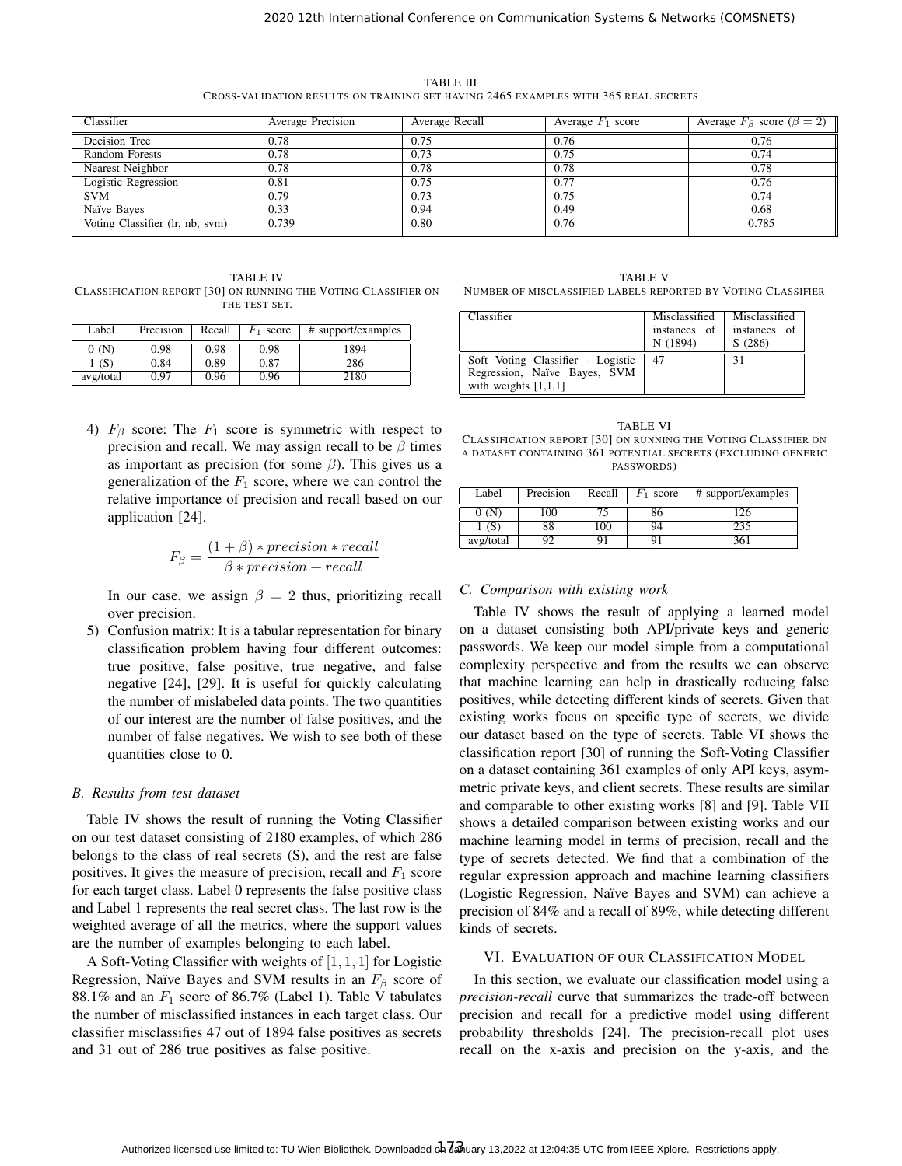TABLE III CROSS-VALIDATION RESULTS ON TRAINING SET HAVING 2465 EXAMPLES WITH 365 REAL SECRETS

| Classifier                      | Average Precision | Average Recall | Average $F_1$ score | Average $F_\beta$ score $(\beta = 2)$ |
|---------------------------------|-------------------|----------------|---------------------|---------------------------------------|
| Decision Tree                   | 0.78              | 0.75           | 0.76                | 0.76                                  |
| Random Forests                  | 0.78              | 0.73           | 0.75                | 0.74                                  |
| Nearest Neighbor                | 0.78              | 0.78           | 0.78                | 0.78                                  |
| Logistic Regression             | 0.81              | 0.75           | 0.77                | 0.76                                  |
| <b>SVM</b>                      | 0.79              | 0.73           | 0.75                | 0.74                                  |
| Naïve Bayes                     | 0.33              | 0.94           | 0.49                | 0.68                                  |
| Voting Classifier (lr, nb, svm) | 0.739             | 0.80           | 0.76                | 0.785                                 |

TABLE IV CLASSIFICATION REPORT [30] ON RUNNING THE VOTING CLASSIFIER ON THE TEST SET.

| Label     | Precision | Recall | score | # support/examples |
|-----------|-----------|--------|-------|--------------------|
| 0 (N)     | 0.98      | 0.98   | 0.98  | 1894               |
| (S)       | 0.84      | 0.89   | 0.87  | 286                |
| avg/total | 0.97      | 0.96   | 0.96  | 2180               |

4)  $F_\beta$  score: The  $F_1$  score is symmetric with respect to precision and recall. We may assign recall to be  $\beta$  times as important as precision (for some  $\beta$ ). This gives us a generalization of the  $F_1$  score, where we can control the relative importance of precision and recall based on our application [24].

$$
F_{\beta} = \frac{(1+\beta) * precision * recall}{\beta * precision + recall}
$$

In our case, we assign  $\beta = 2$  thus, prioritizing recall over precision.

5) Confusion matrix: It is a tabular representation for binary classification problem having four different outcomes: true positive, false positive, true negative, and false negative [24], [29]. It is useful for quickly calculating the number of mislabeled data points. The two quantities of our interest are the number of false positives, and the number of false negatives. We wish to see both of these quantities close to 0.

# *B. Results from test dataset*

Table IV shows the result of running the Voting Classifier on our test dataset consisting of 2180 examples, of which 286 belongs to the class of real secrets (S), and the rest are false positives. It gives the measure of precision, recall and  $F_1$  score for each target class. Label 0 represents the false positive class and Label 1 represents the real secret class. The last row is the weighted average of all the metrics, where the support values are the number of examples belonging to each label.

A Soft-Voting Classifier with weights of  $[1, 1, 1]$  for Logistic Regression, Naïve Bayes and SVM results in an  $F_\beta$  score of 88.1% and an  $F_1$  score of 86.7% (Label 1). Table V tabulates the number of misclassified instances in each target class. Our classifier misclassifies 47 out of 1894 false positives as secrets and 31 out of 286 true positives as false positive.

TABLE V NUMBER OF MISCLASSIFIED LABELS REPORTED BY VOTING CLASSIFIER

| Classifier                                                                                  | Misclassified<br>instances of<br>N (1894) | Misclassified<br>instances of<br>S(286) |
|---------------------------------------------------------------------------------------------|-------------------------------------------|-----------------------------------------|
| Soft Voting Classifier - Logistic<br>Regression, Naïve Bayes, SVM<br>with weights $[1,1,1]$ | 47                                        | 31                                      |

TABLE VI CLASSIFICATION REPORT [30] ON RUNNING THE VOTING CLASSIFIER ON A DATASET CONTAINING 361 POTENTIAL SECRETS (EXCLUDING GENERIC PASSWORDS)

| Label     | Precision | Recall | $F_1$ score | # support/examples |
|-----------|-----------|--------|-------------|--------------------|
| 0 (N      | 100       |        | δO          | 126                |
| (S        | 88        | 100    | 94          | 235                |
| avg/total |           |        |             | 361                |

# *C. Comparison with existing work*

Table IV shows the result of applying a learned model on a dataset consisting both API/private keys and generic passwords. We keep our model simple from a computational complexity perspective and from the results we can observe that machine learning can help in drastically reducing false positives, while detecting different kinds of secrets. Given that existing works focus on specific type of secrets, we divide our dataset based on the type of secrets. Table VI shows the classification report [30] of running the Soft-Voting Classifier on a dataset containing 361 examples of only API keys, asymmetric private keys, and client secrets. These results are similar and comparable to other existing works [8] and [9]. Table VII shows a detailed comparison between existing works and our machine learning model in terms of precision, recall and the type of secrets detected. We find that a combination of the regular expression approach and machine learning classifiers (Logistic Regression, Naïve Bayes and SVM) can achieve a precision of 84% and a recall of 89%, while detecting different kinds of secrets.

# VI. EVALUATION OF OUR CLASSIFICATION MODEL

In this section, we evaluate our classification model using a *precision-recall* curve that summarizes the trade-off between precision and recall for a predictive model using different probability thresholds [24]. The precision-recall plot uses recall on the x-axis and precision on the y-axis, and the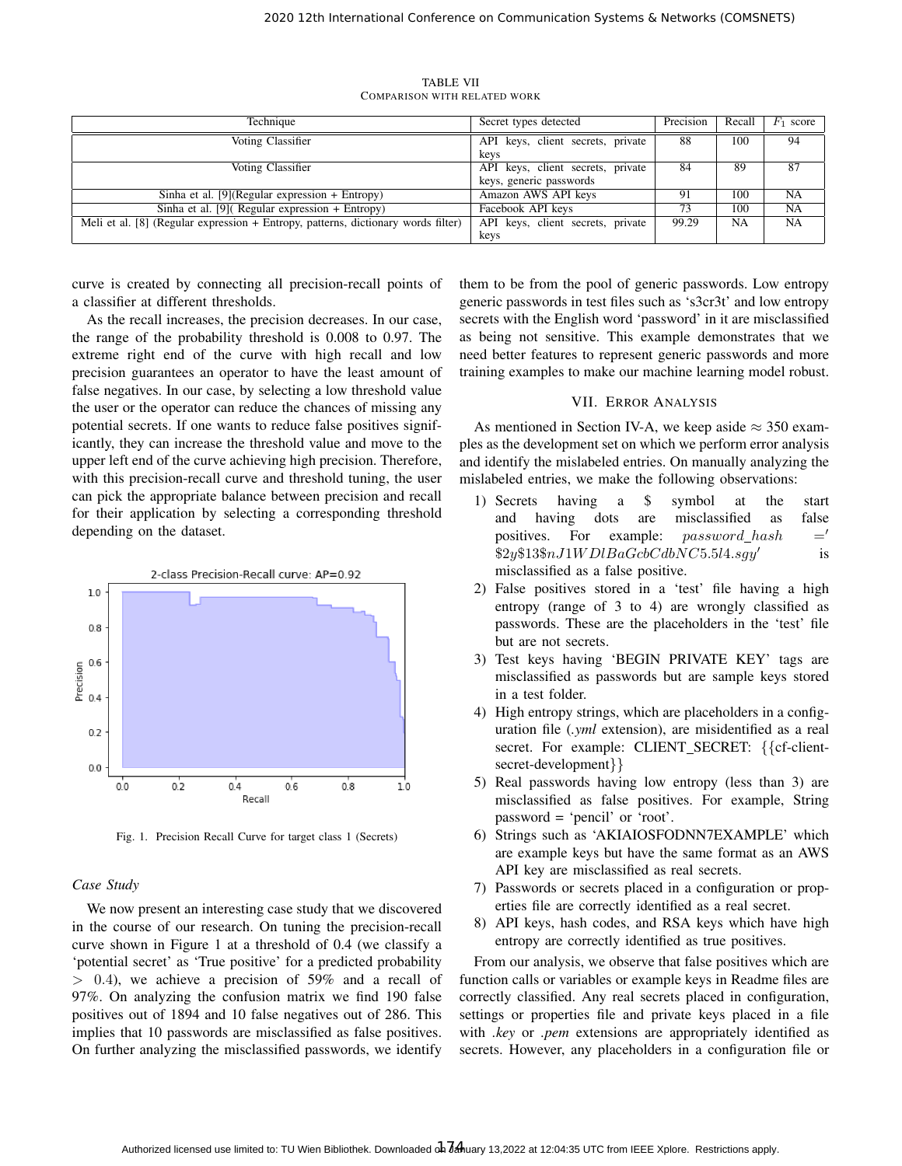| Technique                                                                         | Secret types detected             | Precision | Recall    | $F_1$ score |
|-----------------------------------------------------------------------------------|-----------------------------------|-----------|-----------|-------------|
| Voting Classifier                                                                 | API keys, client secrets, private | 88        | 100       | 94          |
|                                                                                   | kevs                              |           |           |             |
| Voting Classifier                                                                 | API keys, client secrets, private | 84        | 89        | 87          |
|                                                                                   | keys, generic passwords           |           |           |             |
| Sinha et al. $[9]$ (Regular expression + Entropy)                                 | Amazon AWS API keys               | 91        | 100       | NA          |
| Sinha et al. $[9]$ (Regular expression + Entropy)                                 | Facebook API keys                 | 73        | 100       | NA          |
| Meli et al. [8] (Regular expression + Entropy, patterns, dictionary words filter) | API keys, client secrets, private | 99.29     | <b>NA</b> | <b>NA</b>   |
|                                                                                   | keys                              |           |           |             |

TABLE VII COMPARISON WITH RELATED WORK

curve is created by connecting all precision-recall points of a classifier at different thresholds.

As the recall increases, the precision decreases. In our case, the range of the probability threshold is 0.008 to 0.97. The extreme right end of the curve with high recall and low precision guarantees an operator to have the least amount of false negatives. In our case, by selecting a low threshold value the user or the operator can reduce the chances of missing any potential secrets. If one wants to reduce false positives significantly, they can increase the threshold value and move to the upper left end of the curve achieving high precision. Therefore, with this precision-recall curve and threshold tuning, the user can pick the appropriate balance between precision and recall for their application by selecting a corresponding threshold depending on the dataset.



Fig. 1. Precision Recall Curve for target class 1 (Secrets)

# *Case Study*

We now present an interesting case study that we discovered in the course of our research. On tuning the precision-recall curve shown in Figure 1 at a threshold of 0.4 (we classify a 'potential secret' as 'True positive' for a predicted probability  $> 0.4$ ), we achieve a precision of 59% and a recall of 97%. On analyzing the confusion matrix we find 190 false positives out of 1894 and 10 false negatives out of 286. This implies that 10 passwords are misclassified as false positives. On further analyzing the misclassified passwords, we identify

them to be from the pool of generic passwords. Low entropy generic passwords in test files such as 's3cr3t' and low entropy secrets with the English word 'password' in it are misclassified as being not sensitive. This example demonstrates that we need better features to represent generic passwords and more training examples to make our machine learning model robust.

# VII. ERROR ANALYSIS

As mentioned in Section IV-A, we keep aside  $\approx$  350 examples as the development set on which we perform error analysis and identify the mislabeled entries. On manually analyzing the mislabeled entries, we make the following observations:

- 1) Secrets having a \$ symbol at the start and having dots are misclassified as false positives. For example:  $password\_hash =$  $$2y$13$nJ1WDlBaGcbCdbNC5.5l4.sgy'$ is misclassified as a false positive.
- 2) False positives stored in a 'test' file having a high entropy (range of 3 to 4) are wrongly classified as passwords. These are the placeholders in the 'test' file but are not secrets.
- 3) Test keys having 'BEGIN PRIVATE KEY' tags are misclassified as passwords but are sample keys stored in a test folder.
- 4) High entropy strings, which are placeholders in a configuration file (*.yml* extension), are misidentified as a real secret. For example: CLIENT\_SECRET: {{cf-clientsecret-development}}
- 5) Real passwords having low entropy (less than 3) are misclassified as false positives. For example, String password = 'pencil' or 'root'.
- 6) Strings such as 'AKIAIOSFODNN7EXAMPLE' which are example keys but have the same format as an AWS API key are misclassified as real secrets.
- 7) Passwords or secrets placed in a configuration or properties file are correctly identified as a real secret.
- 8) API keys, hash codes, and RSA keys which have high entropy are correctly identified as true positives.

From our analysis, we observe that false positives which are function calls or variables or example keys in Readme files are correctly classified. Any real secrets placed in configuration, settings or properties file and private keys placed in a file with *.key* or *.pem* extensions are appropriately identified as secrets. However, any placeholders in a configuration file or